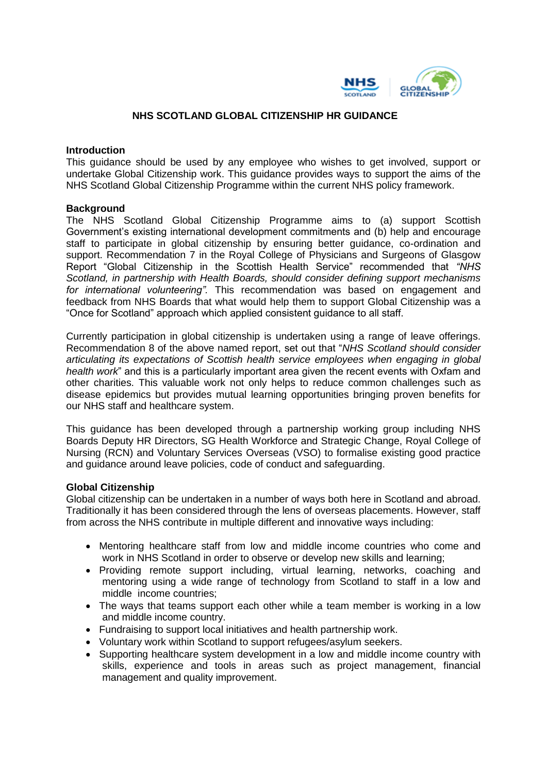

#### **NHS SCOTLAND GLOBAL CITIZENSHIP HR GUIDANCE**

#### **Introduction**

This guidance should be used by any employee who wishes to get involved, support or undertake Global Citizenship work. This guidance provides ways to support the aims of the NHS Scotland Global Citizenship Programme within the current NHS policy framework.

#### **Background**

The NHS Scotland Global Citizenship Programme aims to (a) support Scottish Government's existing international development commitments and (b) help and encourage staff to participate in global citizenship by ensuring better guidance, co-ordination and support. Recommendation 7 in the Royal College of Physicians and Surgeons of Glasgow Report "Global Citizenship in the Scottish Health Service" recommended that *"NHS Scotland, in partnership with Health Boards, should consider defining support mechanisms for international volunteering".* This recommendation was based on engagement and feedback from NHS Boards that what would help them to support Global Citizenship was a "Once for Scotland" approach which applied consistent guidance to all staff.

Currently participation in global citizenship is undertaken using a range of leave offerings. Recommendation 8 of the above named report, set out that "*NHS Scotland should consider articulating its expectations of Scottish health service employees when engaging in global health work*" and this is a particularly important area given the recent events with Oxfam and other charities. This valuable work not only helps to reduce common challenges such as disease epidemics but provides mutual learning opportunities bringing proven benefits for our NHS staff and healthcare system.

This guidance has been developed through a partnership working group including NHS Boards Deputy HR Directors, SG Health Workforce and Strategic Change, Royal College of Nursing (RCN) and Voluntary Services Overseas (VSO) to formalise existing good practice and guidance around leave policies, code of conduct and safeguarding.

#### **Global Citizenship**

Global citizenship can be undertaken in a number of ways both here in Scotland and abroad. Traditionally it has been considered through the lens of overseas placements. However, staff from across the NHS contribute in multiple different and innovative ways including:

- Mentoring healthcare staff from low and middle income countries who come and work in NHS Scotland in order to observe or develop new skills and learning;
- Providing remote support including, virtual learning, networks, coaching and mentoring using a wide range of technology from Scotland to staff in a low and middle income countries;
- The ways that teams support each other while a team member is working in a low and middle income country.
- Fundraising to support local initiatives and health partnership work.
- Voluntary work within Scotland to support refugees/asylum seekers.
- Supporting healthcare system development in a low and middle income country with skills, experience and tools in areas such as project management, financial management and quality improvement.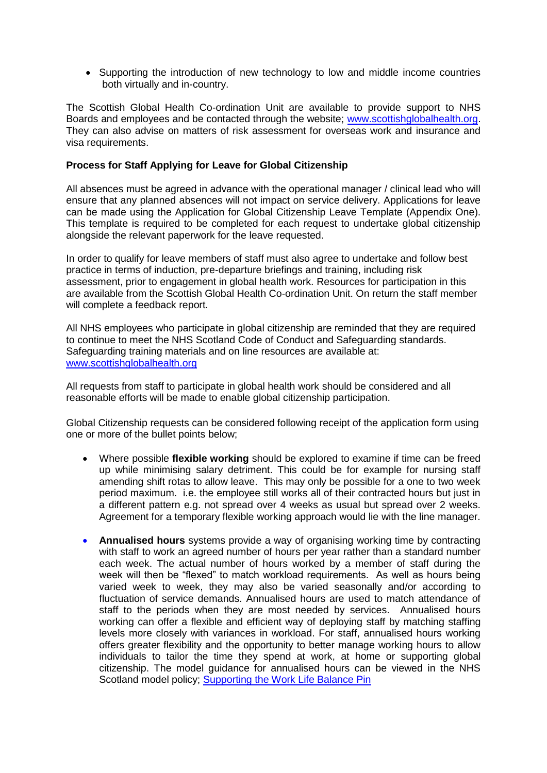• Supporting the introduction of new technology to low and middle income countries both virtually and in-country.

The Scottish Global Health Co-ordination Unit are available to provide support to NHS Boards and employees and be contacted through the website; [www.scottishglobalhealth.org.](http://www.scottishglobalhealth.org/) They can also advise on matters of risk assessment for overseas work and insurance and visa requirements.

### **Process for Staff Applying for Leave for Global Citizenship**

All absences must be agreed in advance with the operational manager / clinical lead who will ensure that any planned absences will not impact on service delivery. Applications for leave can be made using the Application for Global Citizenship Leave Template (Appendix One). This template is required to be completed for each request to undertake global citizenship alongside the relevant paperwork for the leave requested.

In order to qualify for leave members of staff must also agree to undertake and follow best practice in terms of induction, pre-departure briefings and training, including risk assessment, prior to engagement in global health work. Resources for participation in this are available from the Scottish Global Health Co-ordination Unit. On return the staff member will complete a feedback report.

All NHS employees who participate in global citizenship are reminded that they are required to continue to meet the NHS Scotland Code of Conduct and Safeguarding standards. Safeguarding training materials and on line resources are available at: [www.scottishglobalhealth.org](http://www.scottishglobalhealth.org/)

All requests from staff to participate in global health work should be considered and all reasonable efforts will be made to enable global citizenship participation.

Global Citizenship requests can be considered following receipt of the application form using one or more of the bullet points below;

- Where possible **flexible working** should be explored to examine if time can be freed up while minimising salary detriment. This could be for example for nursing staff amending shift rotas to allow leave. This may only be possible for a one to two week period maximum. i.e. the employee still works all of their contracted hours but just in a different pattern e.g. not spread over 4 weeks as usual but spread over 2 weeks. Agreement for a temporary flexible working approach would lie with the line manager.
- **Annualised hours** systems provide a way of organising working time by contracting with staff to work an agreed number of hours per year rather than a standard number each week. The actual number of hours worked by a member of staff during the week will then be "flexed" to match workload requirements. As well as hours being varied week to week, they may also be varied seasonally and/or according to fluctuation of service demands. Annualised hours are used to match attendance of staff to the periods when they are most needed by services. Annualised hours working can offer a flexible and efficient way of deploying staff by matching staffing levels more closely with variances in workload. For staff, annualised hours working offers greater flexibility and the opportunity to better manage working hours to allow individuals to tailor the time they spend at work, at home or supporting global citizenship. The model guidance for annualised hours can be viewed in the NHS Scotland model policy; [Supporting the Work Life Balance Pin](http://www.staffgovernance.scot.nhs.uk/partnership/partnership-information-network/pin-policies/)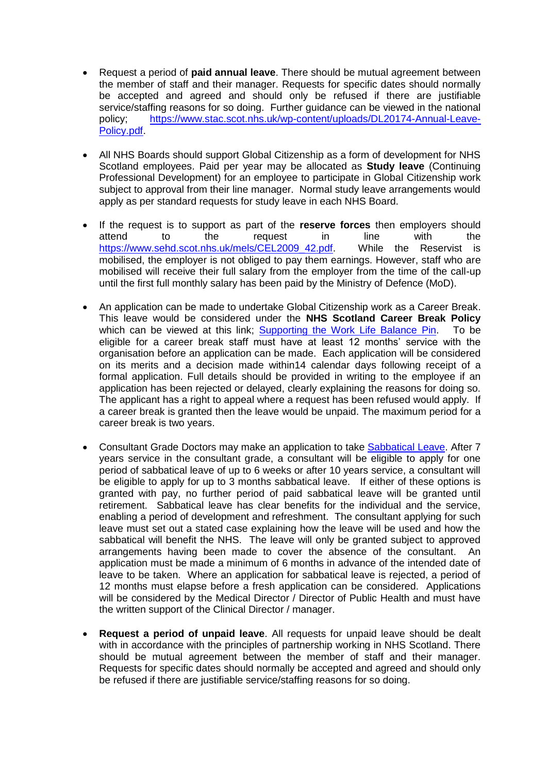- Request a period of **paid annual leave**. There should be mutual agreement between the member of staff and their manager. Requests for specific dates should normally be accepted and agreed and should only be refused if there are justifiable service/staffing reasons for so doing. Further guidance can be viewed in the national policy; [https://www.stac.scot.nhs.uk/wp-content/uploads/DL20174-Annual-Leave-](https://www.stac.scot.nhs.uk/wp-content/uploads/DL20174-Annual-Leave-Policy.pdf)[Policy.pdf.](https://www.stac.scot.nhs.uk/wp-content/uploads/DL20174-Annual-Leave-Policy.pdf)
- All NHS Boards should support Global Citizenship as a form of development for NHS Scotland employees. Paid per year may be allocated as **Study leave** (Continuing Professional Development) for an employee to participate in Global Citizenship work subject to approval from their line manager. Normal study leave arrangements would apply as per standard requests for study leave in each NHS Board.
- If the request is to support as part of the **reserve forces** then employers should attend to the request in line with the https://www.sehd.scot.nhs.uk/mels/CEL2009 42.pdf. While the Reservist is mobilised, the employer is not obliged to pay them earnings. However, staff who are mobilised will receive their full salary from the employer from the time of the call-up until the first full monthly salary has been paid by the Ministry of Defence (MoD).
- An application can be made to undertake Global Citizenship work as a Career Break. This leave would be considered under the **NHS Scotland Career Break Policy**  which can be viewed at this link; **[Supporting the Work Life Balance Pin.](http://www.staffgovernance.scot.nhs.uk/partnership/partnership-information-network/pin-policies/)** To be eligible for a career break staff must have at least 12 months' service with the organisation before an application can be made. Each application will be considered on its merits and a decision made within14 calendar days following receipt of a formal application. Full details should be provided in writing to the employee if an application has been rejected or delayed, clearly explaining the reasons for doing so. The applicant has a right to appeal where a request has been refused would apply. If a career break is granted then the leave would be unpaid. The maximum period for a career break is two years.
- Consultant Grade Doctors may make an application to take [Sabbatical Leave.](http://www.msg.scot.nhs.uk/wp-content/uploads/Consultant-contract-2007-version.doc) After 7 years service in the consultant grade, a consultant will be eligible to apply for one period of sabbatical leave of up to 6 weeks or after 10 years service, a consultant will be eligible to apply for up to 3 months sabbatical leave. If either of these options is granted with pay, no further period of paid sabbatical leave will be granted until retirement. Sabbatical leave has clear benefits for the individual and the service, enabling a period of development and refreshment. The consultant applying for such leave must set out a stated case explaining how the leave will be used and how the sabbatical will benefit the NHS. The leave will only be granted subject to approved arrangements having been made to cover the absence of the consultant. An application must be made a minimum of 6 months in advance of the intended date of leave to be taken. Where an application for sabbatical leave is rejected, a period of 12 months must elapse before a fresh application can be considered. Applications will be considered by the Medical Director / Director of Public Health and must have the written support of the Clinical Director / manager.
- **Request a period of unpaid leave**. All requests for unpaid leave should be dealt with in accordance with the principles of partnership working in NHS Scotland. There should be mutual agreement between the member of staff and their manager. Requests for specific dates should normally be accepted and agreed and should only be refused if there are justifiable service/staffing reasons for so doing.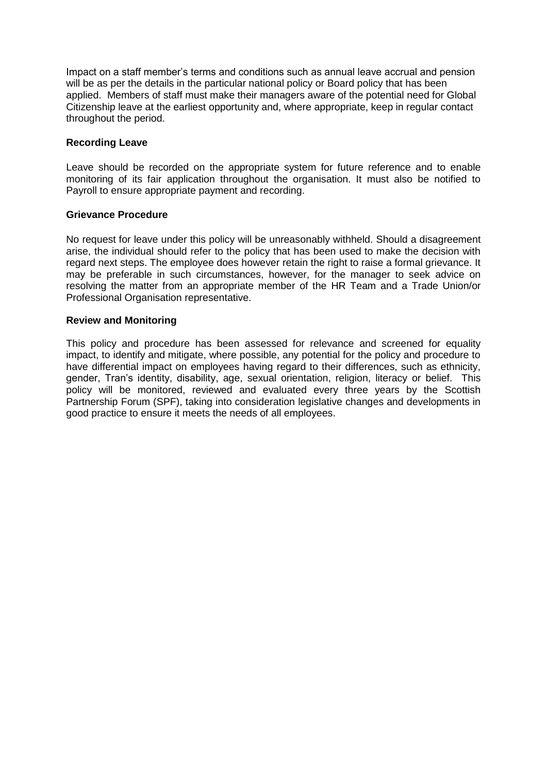Impact on a staff member's terms and conditions such as annual leave accrual and pension will be as per the details in the particular national policy or Board policy that has been applied. Members of staff must make their managers aware of the potential need for Global Citizenship leave at the earliest opportunity and, where appropriate, keep in regular contact throughout the period.

## **Recording Leave**

Leave should be recorded on the appropriate system for future reference and to enable monitoring of its fair application throughout the organisation. It must also be notified to Payroll to ensure appropriate payment and recording.

## **Grievance Procedure**

No request for leave under this policy will be unreasonably withheld. Should a disagreement arise, the individual should refer to the policy that has been used to make the decision with regard next steps. The employee does however retain the right to raise a formal grievance. It may be preferable in such circumstances, however, for the manager to seek advice on resolving the matter from an appropriate member of the HR Team and a Trade Union/or Professional Organisation representative.

#### **Review and Monitoring**

This policy and procedure has been assessed for relevance and screened for equality impact, to identify and mitigate, where possible, any potential for the policy and procedure to have differential impact on employees having regard to their differences, such as ethnicity, gender, Tran's identity, disability, age, sexual orientation, religion, literacy or belief. This policy will be monitored, reviewed and evaluated every three years by the Scottish Partnership Forum (SPF), taking into consideration legislative changes and developments in good practice to ensure it meets the needs of all employees.